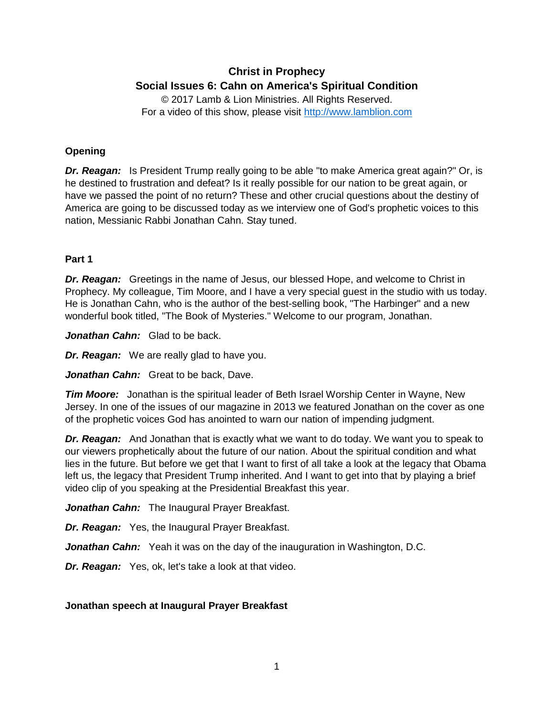# **Christ in Prophecy Social Issues 6: Cahn on America's Spiritual Condition**

© 2017 Lamb & Lion Ministries. All Rights Reserved. For a video of this show, please visit [http://www.lamblion.com](http://www.lamblion.com/)

# **Opening**

*Dr. Reagan:* Is President Trump really going to be able "to make America great again?" Or, is he destined to frustration and defeat? Is it really possible for our nation to be great again, or have we passed the point of no return? These and other crucial questions about the destiny of America are going to be discussed today as we interview one of God's prophetic voices to this nation, Messianic Rabbi Jonathan Cahn. Stay tuned.

## **Part 1**

*Dr. Reagan:* Greetings in the name of Jesus, our blessed Hope, and welcome to Christ in Prophecy. My colleague, Tim Moore, and I have a very special guest in the studio with us today. He is Jonathan Cahn, who is the author of the best-selling book, "The Harbinger" and a new wonderful book titled, "The Book of Mysteries." Welcome to our program, Jonathan.

*Jonathan Cahn:* Glad to be back.

*Dr. Reagan:* We are really glad to have you.

*Jonathan Cahn:* Great to be back, Dave.

*Tim Moore:* Jonathan is the spiritual leader of Beth Israel Worship Center in Wayne, New Jersey. In one of the issues of our magazine in 2013 we featured Jonathan on the cover as one of the prophetic voices God has anointed to warn our nation of impending judgment.

*Dr. Reagan:* And Jonathan that is exactly what we want to do today. We want you to speak to our viewers prophetically about the future of our nation. About the spiritual condition and what lies in the future. But before we get that I want to first of all take a look at the legacy that Obama left us, the legacy that President Trump inherited. And I want to get into that by playing a brief video clip of you speaking at the Presidential Breakfast this year.

*Jonathan Cahn:* The Inaugural Prayer Breakfast.

*Dr. Reagan:* Yes, the Inaugural Prayer Breakfast.

*Jonathan Cahn:* Yeah it was on the day of the inauguration in Washington, D.C.

*Dr. Reagan:* Yes, ok, let's take a look at that video.

## **Jonathan speech at Inaugural Prayer Breakfast**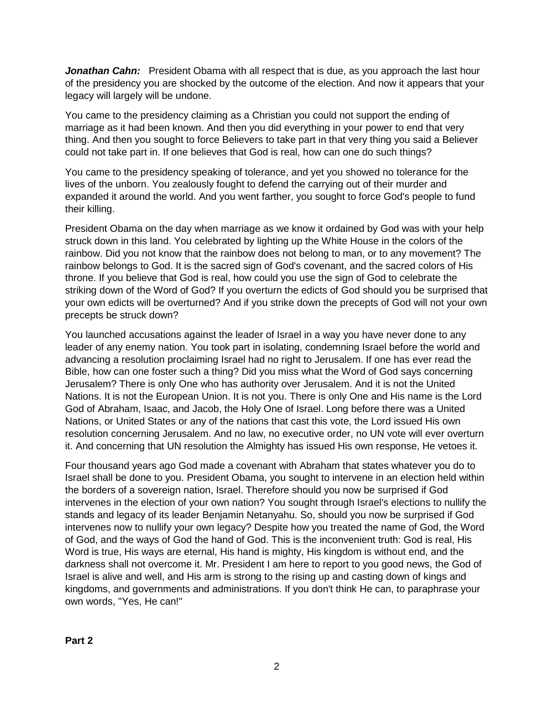**Jonathan Cahn:** President Obama with all respect that is due, as you approach the last hour of the presidency you are shocked by the outcome of the election. And now it appears that your legacy will largely will be undone.

You came to the presidency claiming as a Christian you could not support the ending of marriage as it had been known. And then you did everything in your power to end that very thing. And then you sought to force Believers to take part in that very thing you said a Believer could not take part in. If one believes that God is real, how can one do such things?

You came to the presidency speaking of tolerance, and yet you showed no tolerance for the lives of the unborn. You zealously fought to defend the carrying out of their murder and expanded it around the world. And you went farther, you sought to force God's people to fund their killing.

President Obama on the day when marriage as we know it ordained by God was with your help struck down in this land. You celebrated by lighting up the White House in the colors of the rainbow. Did you not know that the rainbow does not belong to man, or to any movement? The rainbow belongs to God. It is the sacred sign of God's covenant, and the sacred colors of His throne. If you believe that God is real, how could you use the sign of God to celebrate the striking down of the Word of God? If you overturn the edicts of God should you be surprised that your own edicts will be overturned? And if you strike down the precepts of God will not your own precepts be struck down?

You launched accusations against the leader of Israel in a way you have never done to any leader of any enemy nation. You took part in isolating, condemning Israel before the world and advancing a resolution proclaiming Israel had no right to Jerusalem. If one has ever read the Bible, how can one foster such a thing? Did you miss what the Word of God says concerning Jerusalem? There is only One who has authority over Jerusalem. And it is not the United Nations. It is not the European Union. It is not you. There is only One and His name is the Lord God of Abraham, Isaac, and Jacob, the Holy One of Israel. Long before there was a United Nations, or United States or any of the nations that cast this vote, the Lord issued His own resolution concerning Jerusalem. And no law, no executive order, no UN vote will ever overturn it. And concerning that UN resolution the Almighty has issued His own response, He vetoes it.

Four thousand years ago God made a covenant with Abraham that states whatever you do to Israel shall be done to you. President Obama, you sought to intervene in an election held within the borders of a sovereign nation, Israel. Therefore should you now be surprised if God intervenes in the election of your own nation? You sought through Israel's elections to nullify the stands and legacy of its leader Benjamin Netanyahu. So, should you now be surprised if God intervenes now to nullify your own legacy? Despite how you treated the name of God, the Word of God, and the ways of God the hand of God. This is the inconvenient truth: God is real, His Word is true, His ways are eternal, His hand is mighty, His kingdom is without end, and the darkness shall not overcome it. Mr. President I am here to report to you good news, the God of Israel is alive and well, and His arm is strong to the rising up and casting down of kings and kingdoms, and governments and administrations. If you don't think He can, to paraphrase your own words, "Yes, He can!"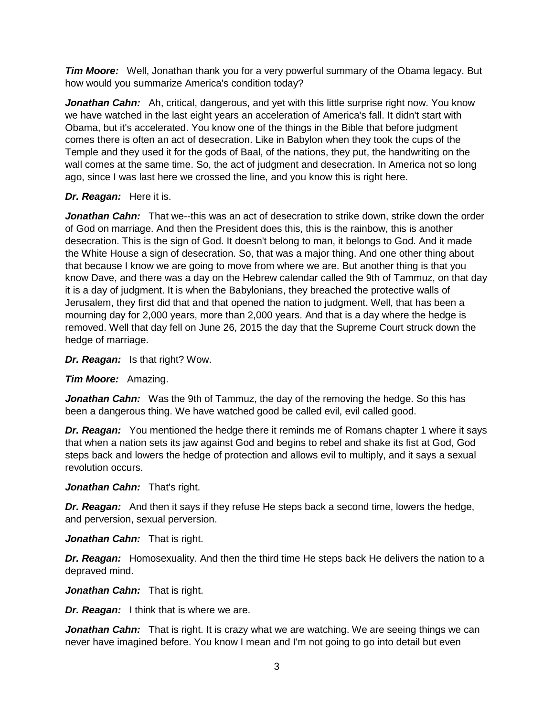*Tim Moore:* Well, Jonathan thank you for a very powerful summary of the Obama legacy. But how would you summarize America's condition today?

*Jonathan Cahn:* Ah, critical, dangerous, and yet with this little surprise right now. You know we have watched in the last eight years an acceleration of America's fall. It didn't start with Obama, but it's accelerated. You know one of the things in the Bible that before judgment comes there is often an act of desecration. Like in Babylon when they took the cups of the Temple and they used it for the gods of Baal, of the nations, they put, the handwriting on the wall comes at the same time. So, the act of judgment and desecration. In America not so long ago, since I was last here we crossed the line, and you know this is right here.

## *Dr. Reagan:* Here it is.

**Jonathan Cahn:** That we--this was an act of desecration to strike down, strike down the order of God on marriage. And then the President does this, this is the rainbow, this is another desecration. This is the sign of God. It doesn't belong to man, it belongs to God. And it made the White House a sign of desecration. So, that was a major thing. And one other thing about that because I know we are going to move from where we are. But another thing is that you know Dave, and there was a day on the Hebrew calendar called the 9th of Tammuz, on that day it is a day of judgment. It is when the Babylonians, they breached the protective walls of Jerusalem, they first did that and that opened the nation to judgment. Well, that has been a mourning day for 2,000 years, more than 2,000 years. And that is a day where the hedge is removed. Well that day fell on June 26, 2015 the day that the Supreme Court struck down the hedge of marriage.

*Dr. Reagan:* Is that right? Wow.

*Tim Moore:* Amazing.

*Jonathan Cahn:* Was the 9th of Tammuz, the day of the removing the hedge. So this has been a dangerous thing. We have watched good be called evil, evil called good.

*Dr. Reagan:* You mentioned the hedge there it reminds me of Romans chapter 1 where it says that when a nation sets its jaw against God and begins to rebel and shake its fist at God, God steps back and lowers the hedge of protection and allows evil to multiply, and it says a sexual revolution occurs.

*Jonathan Cahn:* That's right.

*Dr. Reagan:* And then it says if they refuse He steps back a second time, lowers the hedge, and perversion, sexual perversion.

*Jonathan Cahn:* That is right.

*Dr. Reagan:* Homosexuality. And then the third time He steps back He delivers the nation to a depraved mind.

*Jonathan Cahn:* That is right.

*Dr. Reagan:* I think that is where we are.

**Jonathan Cahn:** That is right. It is crazy what we are watching. We are seeing things we can never have imagined before. You know I mean and I'm not going to go into detail but even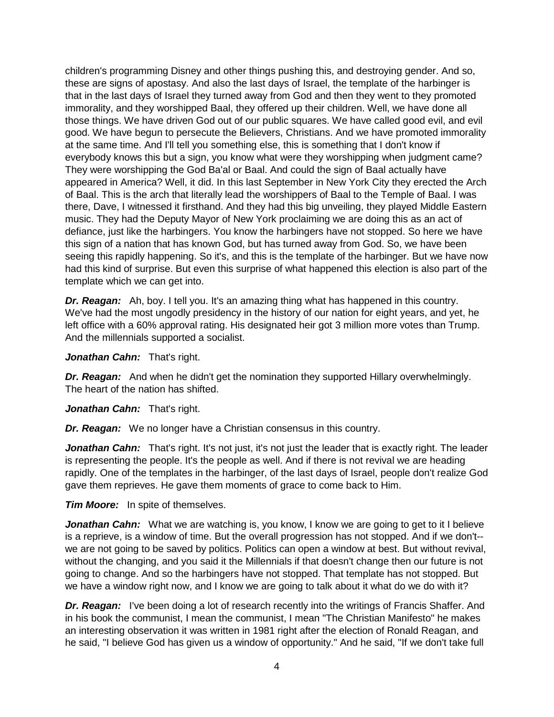children's programming Disney and other things pushing this, and destroying gender. And so, these are signs of apostasy. And also the last days of Israel, the template of the harbinger is that in the last days of Israel they turned away from God and then they went to they promoted immorality, and they worshipped Baal, they offered up their children. Well, we have done all those things. We have driven God out of our public squares. We have called good evil, and evil good. We have begun to persecute the Believers, Christians. And we have promoted immorality at the same time. And I'll tell you something else, this is something that I don't know if everybody knows this but a sign, you know what were they worshipping when judgment came? They were worshipping the God Ba'al or Baal. And could the sign of Baal actually have appeared in America? Well, it did. In this last September in New York City they erected the Arch of Baal. This is the arch that literally lead the worshippers of Baal to the Temple of Baal. I was there, Dave, I witnessed it firsthand. And they had this big unveiling, they played Middle Eastern music. They had the Deputy Mayor of New York proclaiming we are doing this as an act of defiance, just like the harbingers. You know the harbingers have not stopped. So here we have this sign of a nation that has known God, but has turned away from God. So, we have been seeing this rapidly happening. So it's, and this is the template of the harbinger. But we have now had this kind of surprise. But even this surprise of what happened this election is also part of the template which we can get into.

*Dr. Reagan:* Ah, boy. I tell you. It's an amazing thing what has happened in this country. We've had the most ungodly presidency in the history of our nation for eight years, and yet, he left office with a 60% approval rating. His designated heir got 3 million more votes than Trump. And the millennials supported a socialist.

*Jonathan Cahn:* That's right.

*Dr. Reagan:* And when he didn't get the nomination they supported Hillary overwhelmingly. The heart of the nation has shifted.

*Jonathan Cahn:* That's right.

*Dr. Reagan:* We no longer have a Christian consensus in this country.

Jonathan Cahn: That's right. It's not just, it's not just the leader that is exactly right. The leader is representing the people. It's the people as well. And if there is not revival we are heading rapidly. One of the templates in the harbinger, of the last days of Israel, people don't realize God gave them reprieves. He gave them moments of grace to come back to Him.

*Tim Moore:* In spite of themselves.

**Jonathan Cahn:** What we are watching is, you know, I know we are going to get to it I believe is a reprieve, is a window of time. But the overall progression has not stopped. And if we don't- we are not going to be saved by politics. Politics can open a window at best. But without revival, without the changing, and you said it the Millennials if that doesn't change then our future is not going to change. And so the harbingers have not stopped. That template has not stopped. But we have a window right now, and I know we are going to talk about it what do we do with it?

**Dr. Reagan:** I've been doing a lot of research recently into the writings of Francis Shaffer. And in his book the communist, I mean the communist, I mean "The Christian Manifesto" he makes an interesting observation it was written in 1981 right after the election of Ronald Reagan, and he said, "I believe God has given us a window of opportunity." And he said, "If we don't take full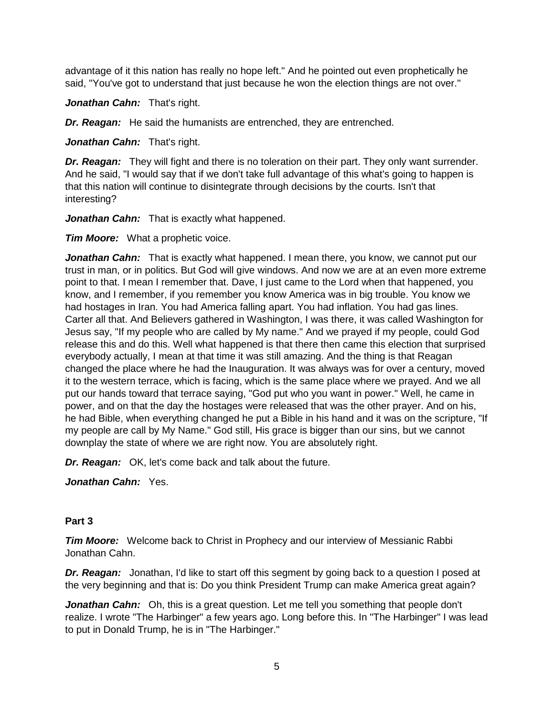advantage of it this nation has really no hope left." And he pointed out even prophetically he said, "You've got to understand that just because he won the election things are not over."

*Jonathan Cahn:* That's right.

*Dr. Reagan:* He said the humanists are entrenched, they are entrenched.

*Jonathan Cahn:* That's right.

*Dr. Reagan:* They will fight and there is no toleration on their part. They only want surrender. And he said, "I would say that if we don't take full advantage of this what's going to happen is that this nation will continue to disintegrate through decisions by the courts. Isn't that interesting?

*Jonathan Cahn:* That is exactly what happened.

*Tim Moore:* What a prophetic voice.

*Jonathan Cahn:* That is exactly what happened. I mean there, you know, we cannot put our trust in man, or in politics. But God will give windows. And now we are at an even more extreme point to that. I mean I remember that. Dave, I just came to the Lord when that happened, you know, and I remember, if you remember you know America was in big trouble. You know we had hostages in Iran. You had America falling apart. You had inflation. You had gas lines. Carter all that. And Believers gathered in Washington, I was there, it was called Washington for Jesus say, "If my people who are called by My name." And we prayed if my people, could God release this and do this. Well what happened is that there then came this election that surprised everybody actually, I mean at that time it was still amazing. And the thing is that Reagan changed the place where he had the Inauguration. It was always was for over a century, moved it to the western terrace, which is facing, which is the same place where we prayed. And we all put our hands toward that terrace saying, "God put who you want in power." Well, he came in power, and on that the day the hostages were released that was the other prayer. And on his, he had Bible, when everything changed he put a Bible in his hand and it was on the scripture, "If my people are call by My Name." God still, His grace is bigger than our sins, but we cannot downplay the state of where we are right now. You are absolutely right.

*Dr. Reagan:* OK, let's come back and talk about the future.

*Jonathan Cahn:* Yes.

#### **Part 3**

*Tim Moore:* Welcome back to Christ in Prophecy and our interview of Messianic Rabbi Jonathan Cahn.

*Dr. Reagan:* Jonathan, I'd like to start off this segment by going back to a question I posed at the very beginning and that is: Do you think President Trump can make America great again?

*Jonathan Cahn:* Oh, this is a great question. Let me tell you something that people don't realize. I wrote "The Harbinger" a few years ago. Long before this. In "The Harbinger" I was lead to put in Donald Trump, he is in "The Harbinger."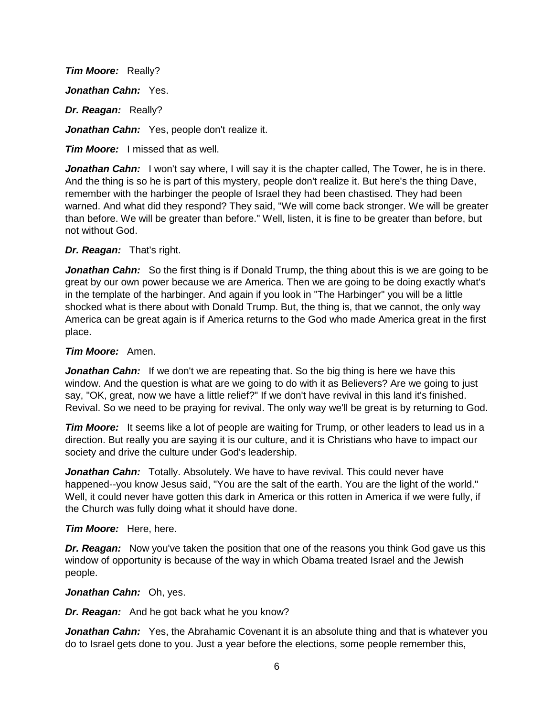*Tim Moore:* Really? *Jonathan Cahn:* Yes. *Dr. Reagan:* Really? Jonathan Cahn: Yes, people don't realize it.

*Tim Moore:* I missed that as well.

Jonathan Cahn: I won't say where, I will say it is the chapter called, The Tower, he is in there. And the thing is so he is part of this mystery, people don't realize it. But here's the thing Dave, remember with the harbinger the people of Israel they had been chastised. They had been warned. And what did they respond? They said, "We will come back stronger. We will be greater than before. We will be greater than before." Well, listen, it is fine to be greater than before, but not without God.

## *Dr. Reagan:* That's right.

**Jonathan Cahn:** So the first thing is if Donald Trump, the thing about this is we are going to be great by our own power because we are America. Then we are going to be doing exactly what's in the template of the harbinger. And again if you look in "The Harbinger" you will be a little shocked what is there about with Donald Trump. But, the thing is, that we cannot, the only way America can be great again is if America returns to the God who made America great in the first place.

## *Tim Moore:* Amen.

*Jonathan Cahn:* If we don't we are repeating that. So the big thing is here we have this window. And the question is what are we going to do with it as Believers? Are we going to just say, "OK, great, now we have a little relief?" If we don't have revival in this land it's finished. Revival. So we need to be praying for revival. The only way we'll be great is by returning to God.

*Tim Moore:* It seems like a lot of people are waiting for Trump, or other leaders to lead us in a direction. But really you are saying it is our culture, and it is Christians who have to impact our society and drive the culture under God's leadership.

*Jonathan Cahn:* Totally. Absolutely. We have to have revival. This could never have happened--you know Jesus said, "You are the salt of the earth. You are the light of the world." Well, it could never have gotten this dark in America or this rotten in America if we were fully, if the Church was fully doing what it should have done.

## *Tim Moore:* Here, here.

*Dr. Reagan:* Now you've taken the position that one of the reasons you think God gave us this window of opportunity is because of the way in which Obama treated Israel and the Jewish people.

## *Jonathan Cahn:* Oh, yes.

*Dr. Reagan:* And he got back what he you know?

**Jonathan Cahn:** Yes, the Abrahamic Covenant it is an absolute thing and that is whatever you do to Israel gets done to you. Just a year before the elections, some people remember this,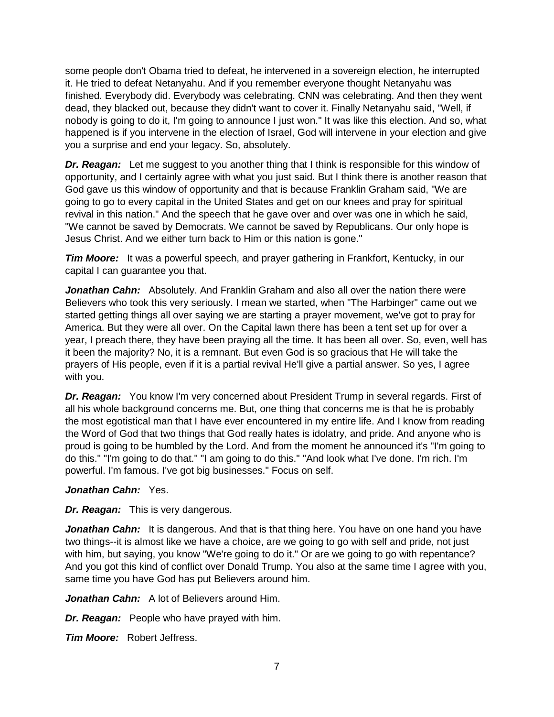some people don't Obama tried to defeat, he intervened in a sovereign election, he interrupted it. He tried to defeat Netanyahu. And if you remember everyone thought Netanyahu was finished. Everybody did. Everybody was celebrating. CNN was celebrating. And then they went dead, they blacked out, because they didn't want to cover it. Finally Netanyahu said, "Well, if nobody is going to do it, I'm going to announce I just won." It was like this election. And so, what happened is if you intervene in the election of Israel, God will intervene in your election and give you a surprise and end your legacy. So, absolutely.

*Dr. Reagan:* Let me suggest to you another thing that I think is responsible for this window of opportunity, and I certainly agree with what you just said. But I think there is another reason that God gave us this window of opportunity and that is because Franklin Graham said, "We are going to go to every capital in the United States and get on our knees and pray for spiritual revival in this nation." And the speech that he gave over and over was one in which he said, "We cannot be saved by Democrats. We cannot be saved by Republicans. Our only hope is Jesus Christ. And we either turn back to Him or this nation is gone."

**Tim Moore:** It was a powerful speech, and prayer gathering in Frankfort, Kentucky, in our capital I can guarantee you that.

*Jonathan Cahn:* Absolutely. And Franklin Graham and also all over the nation there were Believers who took this very seriously. I mean we started, when "The Harbinger" came out we started getting things all over saying we are starting a prayer movement, we've got to pray for America. But they were all over. On the Capital lawn there has been a tent set up for over a year, I preach there, they have been praying all the time. It has been all over. So, even, well has it been the majority? No, it is a remnant. But even God is so gracious that He will take the prayers of His people, even if it is a partial revival He'll give a partial answer. So yes, I agree with you.

*Dr. Reagan:* You know I'm very concerned about President Trump in several regards. First of all his whole background concerns me. But, one thing that concerns me is that he is probably the most egotistical man that I have ever encountered in my entire life. And I know from reading the Word of God that two things that God really hates is idolatry, and pride. And anyone who is proud is going to be humbled by the Lord. And from the moment he announced it's "I'm going to do this." "I'm going to do that." "I am going to do this." "And look what I've done. I'm rich. I'm powerful. I'm famous. I've got big businesses." Focus on self.

## *Jonathan Cahn:* Yes.

*Dr. Reagan:* This is very dangerous.

**Jonathan Cahn:** It is dangerous. And that is that thing here. You have on one hand you have two things--it is almost like we have a choice, are we going to go with self and pride, not just with him, but saying, you know "We're going to do it." Or are we going to go with repentance? And you got this kind of conflict over Donald Trump. You also at the same time I agree with you, same time you have God has put Believers around him.

*Jonathan Cahn:* A lot of Believers around Him.

*Dr. Reagan:* People who have prayed with him.

*Tim Moore:* Robert Jeffress.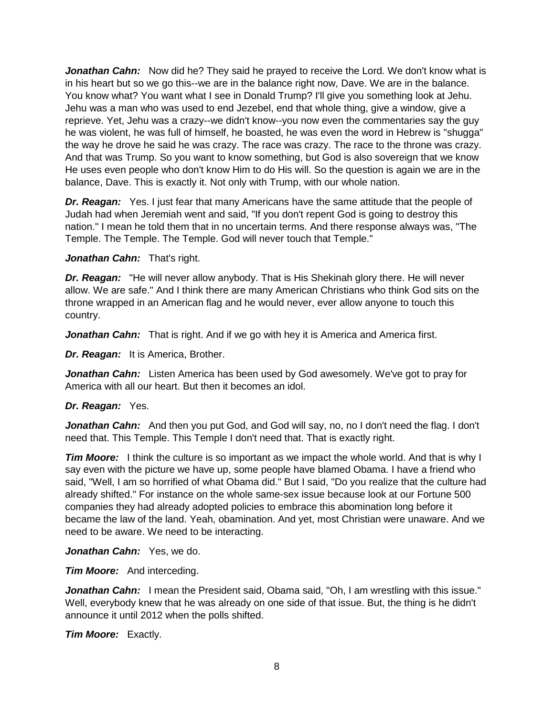**Jonathan Cahn:** Now did he? They said he prayed to receive the Lord. We don't know what is in his heart but so we go this--we are in the balance right now, Dave. We are in the balance. You know what? You want what I see in Donald Trump? I'll give you something look at Jehu. Jehu was a man who was used to end Jezebel, end that whole thing, give a window, give a reprieve. Yet, Jehu was a crazy--we didn't know--you now even the commentaries say the guy he was violent, he was full of himself, he boasted, he was even the word in Hebrew is "shugga" the way he drove he said he was crazy. The race was crazy. The race to the throne was crazy. And that was Trump. So you want to know something, but God is also sovereign that we know He uses even people who don't know Him to do His will. So the question is again we are in the balance, Dave. This is exactly it. Not only with Trump, with our whole nation.

*Dr. Reagan:* Yes. I just fear that many Americans have the same attitude that the people of Judah had when Jeremiah went and said, "If you don't repent God is going to destroy this nation." I mean he told them that in no uncertain terms. And there response always was, "The Temple. The Temple. The Temple. God will never touch that Temple."

*Jonathan Cahn:* That's right.

*Dr. Reagan:* "He will never allow anybody. That is His Shekinah glory there. He will never allow. We are safe." And I think there are many American Christians who think God sits on the throne wrapped in an American flag and he would never, ever allow anyone to touch this country.

*Jonathan Cahn:* That is right. And if we go with hey it is America and America first.

*Dr. Reagan:* It is America, Brother.

*Jonathan Cahn:* Listen America has been used by God awesomely. We've got to pray for America with all our heart. But then it becomes an idol.

#### *Dr. Reagan:* Yes.

*Jonathan Cahn:* And then you put God, and God will say, no, no I don't need the flag. I don't need that. This Temple. This Temple I don't need that. That is exactly right.

*Tim Moore:* I think the culture is so important as we impact the whole world. And that is why I say even with the picture we have up, some people have blamed Obama. I have a friend who said, "Well, I am so horrified of what Obama did." But I said, "Do you realize that the culture had already shifted." For instance on the whole same-sex issue because look at our Fortune 500 companies they had already adopted policies to embrace this abomination long before it became the law of the land. Yeah, obamination. And yet, most Christian were unaware. And we need to be aware. We need to be interacting.

*Jonathan Cahn:* Yes, we do.

*Tim Moore:* And interceding.

**Jonathan Cahn:** I mean the President said, Obama said, "Oh, I am wrestling with this issue." Well, everybody knew that he was already on one side of that issue. But, the thing is he didn't announce it until 2012 when the polls shifted.

*Tim Moore:* Exactly.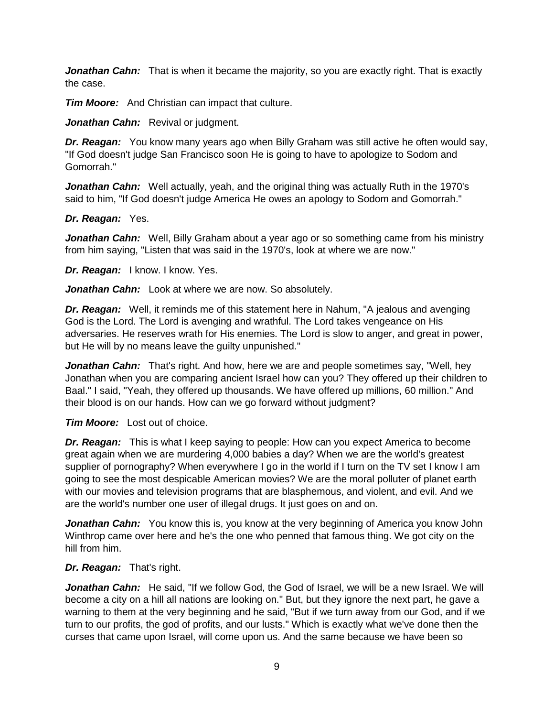**Jonathan Cahn:** That is when it became the majority, so you are exactly right. That is exactly the case.

*Tim Moore:* And Christian can impact that culture.

Jonathan Cahn: Revival or judgment.

*Dr. Reagan:* You know many years ago when Billy Graham was still active he often would say, "If God doesn't judge San Francisco soon He is going to have to apologize to Sodom and Gomorrah."

*Jonathan Cahn:* Well actually, yeah, and the original thing was actually Ruth in the 1970's said to him, "If God doesn't judge America He owes an apology to Sodom and Gomorrah."

#### *Dr. Reagan:* Yes.

*Jonathan Cahn:* Well, Billy Graham about a year ago or so something came from his ministry from him saying, "Listen that was said in the 1970's, look at where we are now."

*Dr. Reagan:* I know. I know. Yes.

*Jonathan Cahn:* Look at where we are now. So absolutely.

*Dr. Reagan:* Well, it reminds me of this statement here in Nahum, "A jealous and avenging God is the Lord. The Lord is avenging and wrathful. The Lord takes vengeance on His adversaries. He reserves wrath for His enemies. The Lord is slow to anger, and great in power, but He will by no means leave the guilty unpunished."

*Jonathan Cahn:* That's right. And how, here we are and people sometimes say, "Well, hey Jonathan when you are comparing ancient Israel how can you? They offered up their children to Baal." I said, "Yeah, they offered up thousands. We have offered up millions, 60 million." And their blood is on our hands. How can we go forward without judgment?

*Tim Moore:* Lost out of choice.

*Dr. Reagan:* This is what I keep saying to people: How can you expect America to become great again when we are murdering 4,000 babies a day? When we are the world's greatest supplier of pornography? When everywhere I go in the world if I turn on the TV set I know I am going to see the most despicable American movies? We are the moral polluter of planet earth with our movies and television programs that are blasphemous, and violent, and evil. And we are the world's number one user of illegal drugs. It just goes on and on.

*Jonathan Cahn:* You know this is, you know at the very beginning of America you know John Winthrop came over here and he's the one who penned that famous thing. We got city on the hill from him.

*Dr. Reagan:* That's right.

Jonathan Cahn: He said, "If we follow God, the God of Israel, we will be a new Israel. We will become a city on a hill all nations are looking on." But, but they ignore the next part, he gave a warning to them at the very beginning and he said, "But if we turn away from our God, and if we turn to our profits, the god of profits, and our lusts." Which is exactly what we've done then the curses that came upon Israel, will come upon us. And the same because we have been so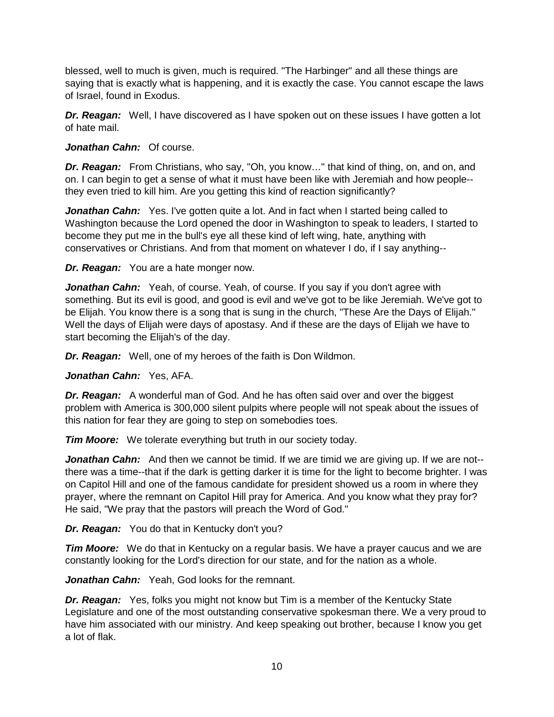blessed, well to much is given, much is required. "The Harbinger" and all these things are saying that is exactly what is happening, and it is exactly the case. You cannot escape the laws of Israel, found in Exodus.

*Dr. Reagan:* Well, I have discovered as I have spoken out on these issues I have gotten a lot of hate mail.

## *Jonathan Cahn:* Of course.

*Dr. Reagan:* From Christians, who say, "Oh, you know…" that kind of thing, on, and on, and on. I can begin to get a sense of what it must have been like with Jeremiah and how people- they even tried to kill him. Are you getting this kind of reaction significantly?

**Jonathan Cahn:** Yes. I've gotten quite a lot. And in fact when I started being called to Washington because the Lord opened the door in Washington to speak to leaders, I started to become they put me in the bull's eye all these kind of left wing, hate, anything with conservatives or Christians. And from that moment on whatever I do, if I say anything--

*Dr. Reagan:* You are a hate monger now.

*Jonathan Cahn:* Yeah, of course. Yeah, of course. If you say if you don't agree with something. But its evil is good, and good is evil and we've got to be like Jeremiah. We've got to be Elijah. You know there is a song that is sung in the church, "These Are the Days of Elijah." Well the days of Elijah were days of apostasy. And if these are the days of Elijah we have to start becoming the Elijah's of the day.

*Dr. Reagan:* Well, one of my heroes of the faith is Don Wildmon.

*Jonathan Cahn:* Yes, AFA.

*Dr. Reagan:* A wonderful man of God. And he has often said over and over the biggest problem with America is 300,000 silent pulpits where people will not speak about the issues of this nation for fear they are going to step on somebodies toes.

*Tim Moore:* We tolerate everything but truth in our society today.

**Jonathan Cahn:** And then we cannot be timid. If we are timid we are giving up. If we are not-there was a time--that if the dark is getting darker it is time for the light to become brighter. I was on Capitol Hill and one of the famous candidate for president showed us a room in where they prayer, where the remnant on Capitol Hill pray for America. And you know what they pray for? He said, "We pray that the pastors will preach the Word of God."

*Dr. Reagan:* You do that in Kentucky don't you?

*Tim Moore:* We do that in Kentucky on a regular basis. We have a prayer caucus and we are constantly looking for the Lord's direction for our state, and for the nation as a whole.

*Jonathan Cahn:* Yeah, God looks for the remnant.

*Dr. Reagan:* Yes, folks you might not know but Tim is a member of the Kentucky State Legislature and one of the most outstanding conservative spokesman there. We a very proud to have him associated with our ministry. And keep speaking out brother, because I know you get a lot of flak.